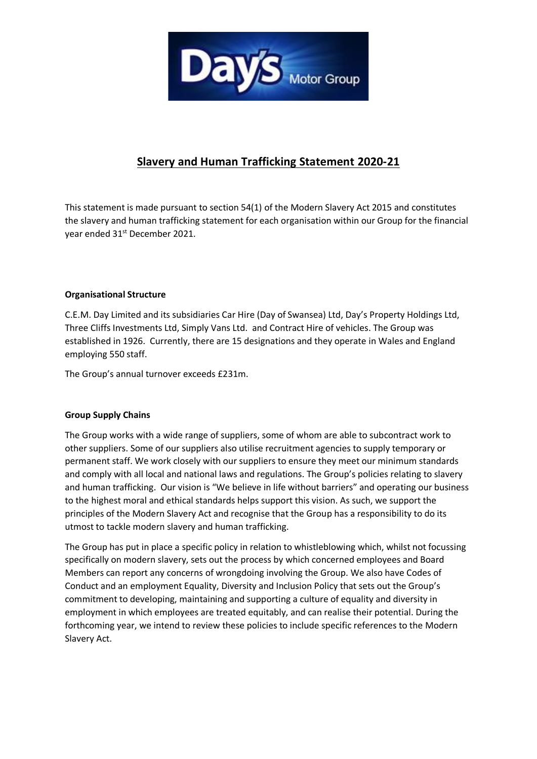

# **Slavery and Human Trafficking Statement 2020-21**

This statement is made pursuant to section 54(1) of the Modern Slavery Act 2015 and constitutes the slavery and human trafficking statement for each organisation within our Group for the financial year ended 31<sup>st</sup> December 2021.

## **Organisational Structure**

C.E.M. Day Limited and its subsidiaries Car Hire (Day of Swansea) Ltd, Day's Property Holdings Ltd, Three Cliffs Investments Ltd, Simply Vans Ltd. and Contract Hire of vehicles. The Group was established in 1926. Currently, there are 15 designations and they operate in Wales and England employing 550 staff.

The Group's annual turnover exceeds £231m.

## **Group Supply Chains**

The Group works with a wide range of suppliers, some of whom are able to subcontract work to other suppliers. Some of our suppliers also utilise recruitment agencies to supply temporary or permanent staff. We work closely with our suppliers to ensure they meet our minimum standards and comply with all local and national laws and regulations. The Group's policies relating to slavery and human trafficking. Our vision is "We believe in life without barriers" and operating our business to the highest moral and ethical standards helps support this vision. As such, we support the principles of the Modern Slavery Act and recognise that the Group has a responsibility to do its utmost to tackle modern slavery and human trafficking.

The Group has put in place a specific policy in relation to whistleblowing which, whilst not focussing specifically on modern slavery, sets out the process by which concerned employees and Board Members can report any concerns of wrongdoing involving the Group. We also have Codes of Conduct and an employment Equality, Diversity and Inclusion Policy that sets out the Group's commitment to developing, maintaining and supporting a culture of equality and diversity in employment in which employees are treated equitably, and can realise their potential. During the forthcoming year, we intend to review these policies to include specific references to the Modern Slavery Act.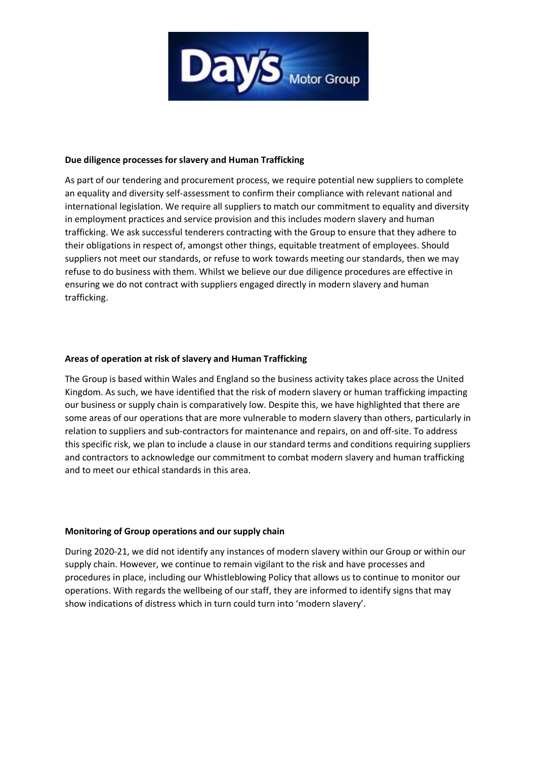

#### **Due diligence processes for slavery and Human Trafficking**

As part of our tendering and procurement process, we require potential new suppliers to complete an equality and diversity self-assessment to confirm their compliance with relevant national and international legislation. We require all suppliers to match our commitment to equality and diversity in employment practices and service provision and this includes modern slavery and human trafficking. We ask successful tenderers contracting with the Group to ensure that they adhere to their obligations in respect of, amongst other things, equitable treatment of employees. Should suppliers not meet our standards, or refuse to work towards meeting our standards, then we may refuse to do business with them. Whilst we believe our due diligence procedures are effective in ensuring we do not contract with suppliers engaged directly in modern slavery and human trafficking.

### **Areas of operation at risk of slavery and Human Trafficking**

The Group is based within Wales and England so the business activity takes place across the United Kingdom. As such, we have identified that the risk of modern slavery or human trafficking impacting our business or supply chain is comparatively low. Despite this, we have highlighted that there are some areas of our operations that are more vulnerable to modern slavery than others, particularly in relation to suppliers and sub-contractors for maintenance and repairs, on and off-site. To address this specific risk, we plan to include a clause in our standard terms and conditions requiring suppliers and contractors to acknowledge our commitment to combat modern slavery and human trafficking and to meet our ethical standards in this area.

#### **Monitoring of Group operations and our supply chain**

During 2020-21, we did not identify any instances of modern slavery within our Group or within our supply chain. However, we continue to remain vigilant to the risk and have processes and procedures in place, including our Whistleblowing Policy that allows us to continue to monitor our operations. With regards the wellbeing of our staff, they are informed to identify signs that may show indications of distress which in turn could turn into 'modern slavery'.